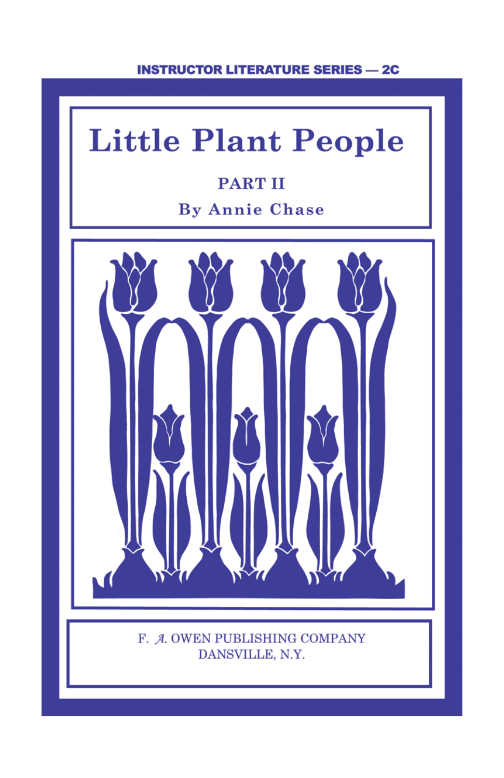#### **INSTRUCTOR LITERATURE SERIES - 2C**

## **Little Plant People**

**PART II By Annie Chase** 



F. A. OWEN PUBLISHING COMPANY DANSVILLE, N.Y.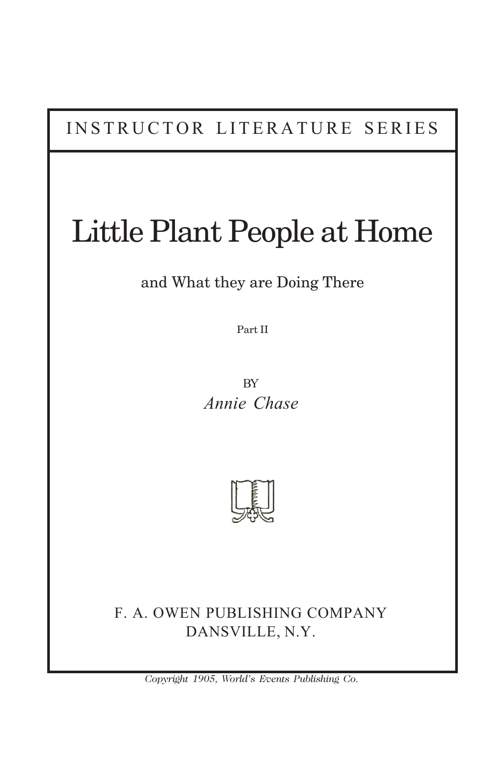#### INSTRUCTOR LITERATURE SERIES

### Little Plant People at Home

#### and What they are Doing There

Part II

BY *Annie Chase*



F. A. OWEN PUBLISHING COMPANY DANSVILLE, N.Y.

*Copyright 1905, World's Events Publishing Co.*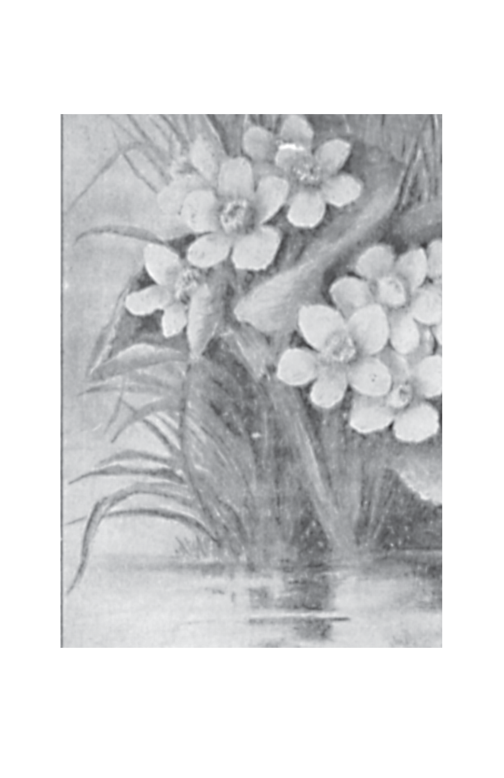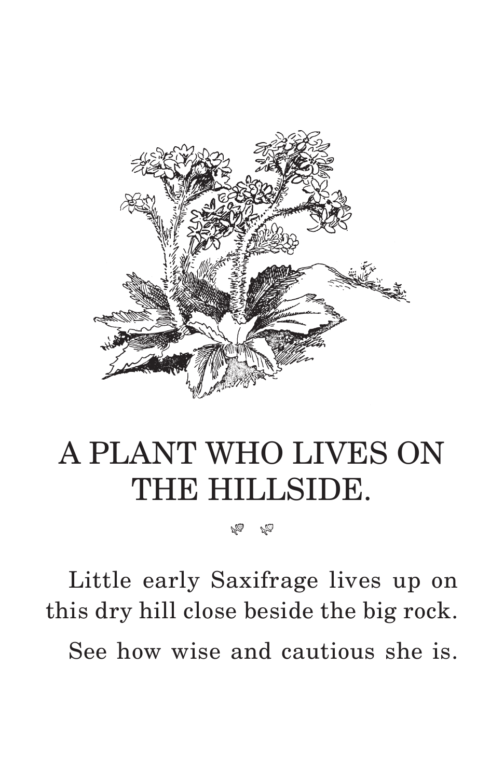

## A PLANT WHO LIVES ON THE HILLSIDE.

Little early Saxifrage lives up on this dry hill close beside the big rock.

See how wise and cautious she is.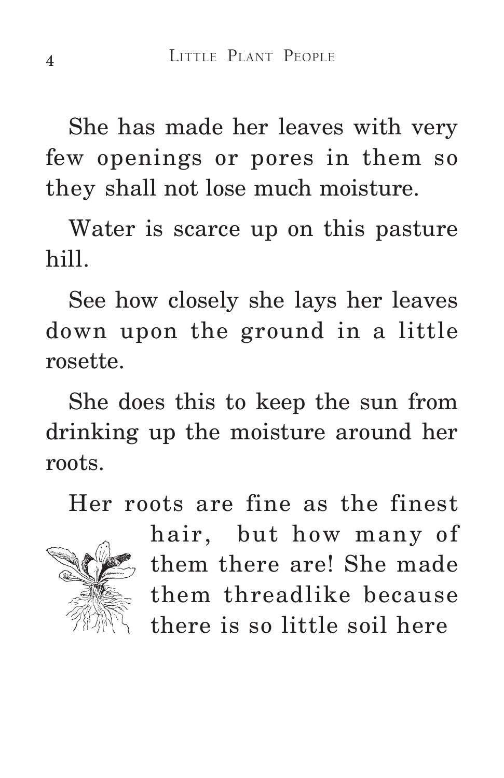She has made her leaves with very few openings or pores in them so they shall not lose much moisture.

Water is scarce up on this pasture hill.

See how closely she lays her leaves down upon the ground in a little rosette.

She does this to keep the sun from drinking up the moisture around her roots.

Her roots are fine as the finest



hair, but how many of them there are! She made them threadlike because there is so little soil here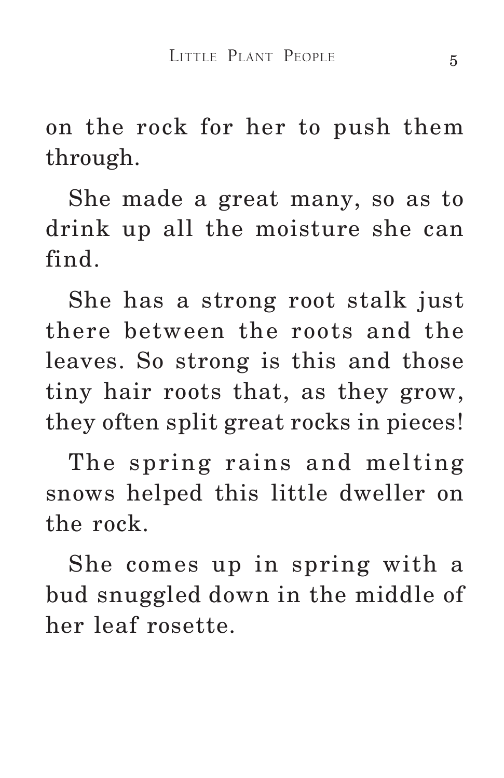on the rock for her to push them through.

She made a great many, so as to drink up all the moisture she can find.

She has a strong root stalk just there between the roots and the leaves. So strong is this and those tiny hair roots that, as they grow, they often split great rocks in pieces!

The spring rains and melting snows helped this little dweller on the rock.

She comes up in spring with a bud snuggled down in the middle of her leaf rosette.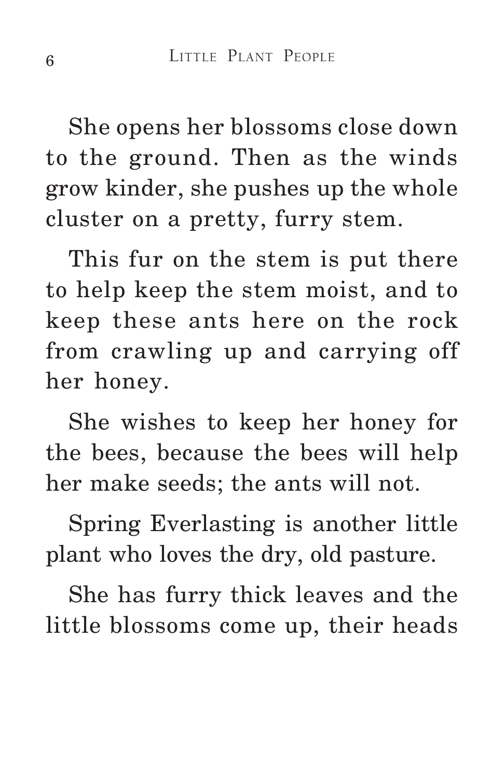She opens her blossoms close down to the ground. Then as the winds grow kinder, she pushes up the whole cluster on a pretty, furry stem.

This fur on the stem is put there to help keep the stem moist, and to keep these ants here on the rock from crawling up and carrying off her honey.

She wishes to keep her honey for the bees, because the bees will help her make seeds; the ants will not.

Spring Everlasting is another little plant who loves the dry, old pasture.

She has furry thick leaves and the little blossoms come up, their heads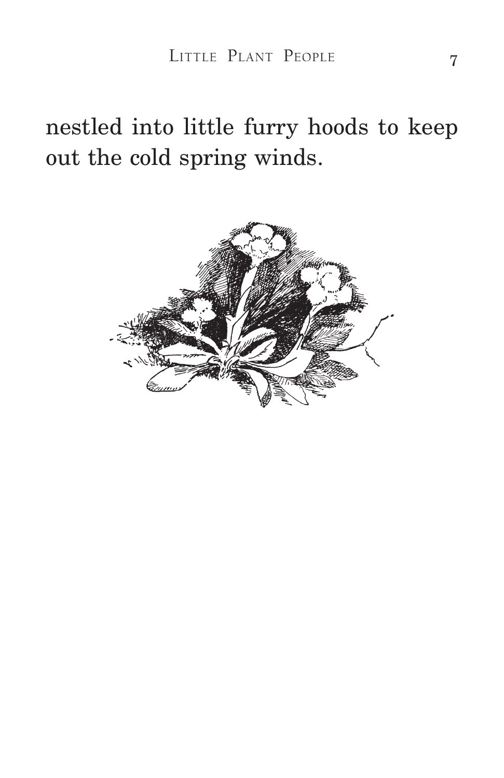#### nestled into little furry hoods to keep out the cold spring winds.

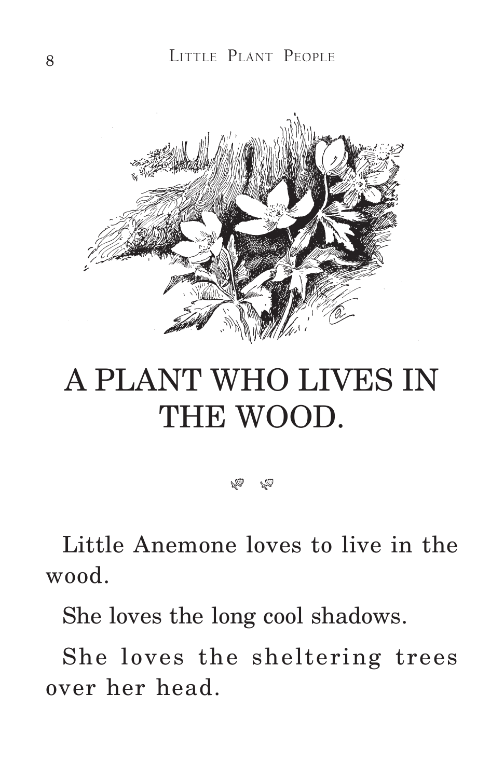

## A PLANT WHO LIVES IN THE WOOD.

Little Anemone loves to live in the wood.

She loves the long cool shadows.

She loves the sheltering trees over her head.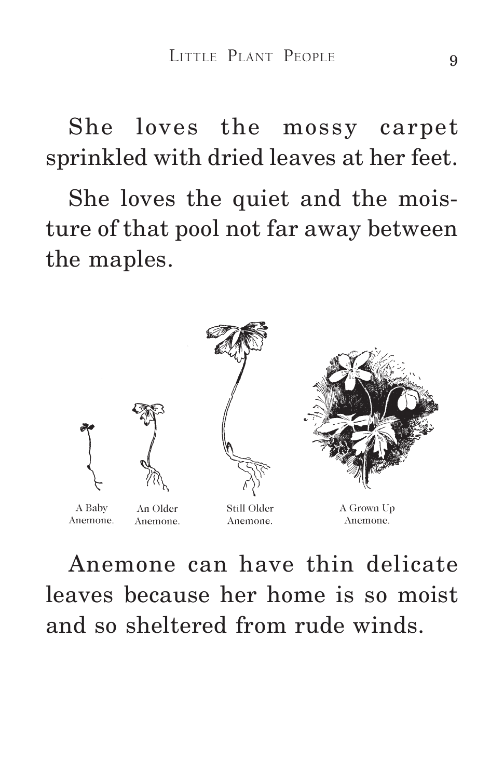#### She loves the mossy carpet sprinkled with dried leaves at her feet.

She loves the quiet and the moisture of that pool not far away between the maples.



Anemone can have thin delicate leaves because her home is so moist and so sheltered from rude winds.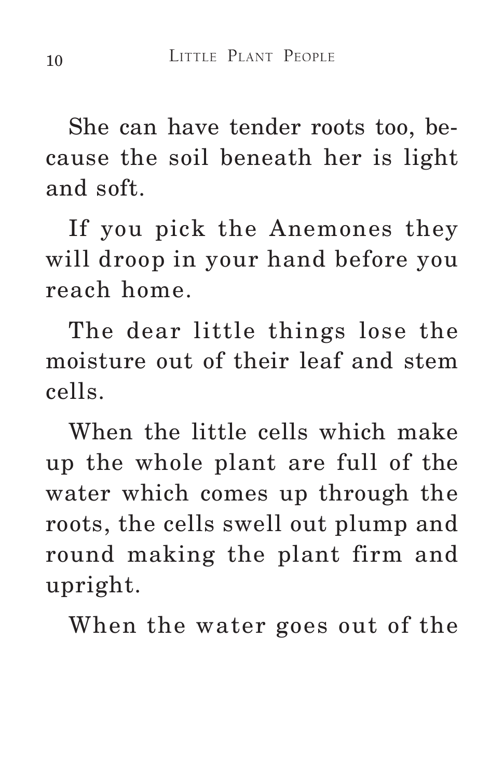She can have tender roots too, because the soil beneath her is light and soft.

If you pick the Anemones they will droop in your hand before you reach home.

The dear little things lose the moisture out of their leaf and stem cells.

When the little cells which make up the whole plant are full of the water which comes up through the roots, the cells swell out plump and round making the plant firm and upright.

When the water goes out of the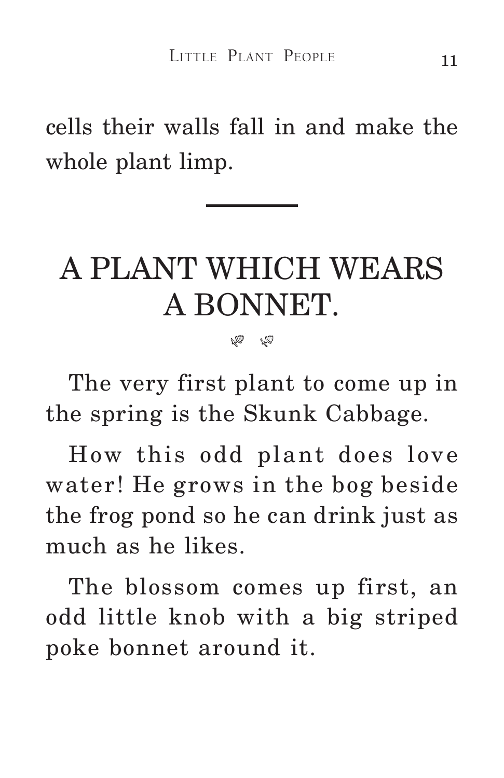cells their walls fall in and make the whole plant limp.

### A PLANT WHICH WEARS A BONNET.

W W

The very first plant to come up in the spring is the Skunk Cabbage.

How this odd plant does love water! He grows in the bog beside the frog pond so he can drink just as much as he likes.

The blossom comes up first, an odd little knob with a big striped poke bonnet around it.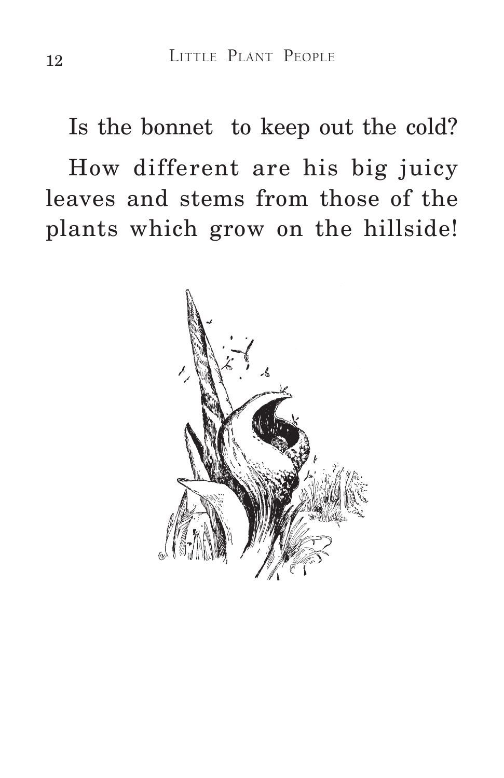Is the bonnet to keep out the cold?

How different are his big juicy leaves and stems from those of the plants which grow on the hillside!

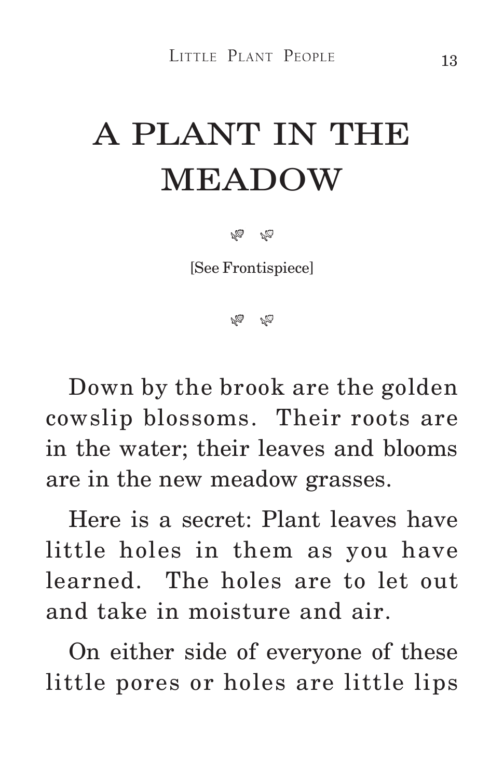# A PLANT IN THE MEADOW

W W

[See Frontispiece]

#### W W

Down by the brook are the golden cowslip blossoms. Their roots are in the water; their leaves and blooms are in the new meadow grasses.

Here is a secret: Plant leaves have little holes in them as you have learned. The holes are to let out and take in moisture and air.

On either side of everyone of these little pores or holes are little lips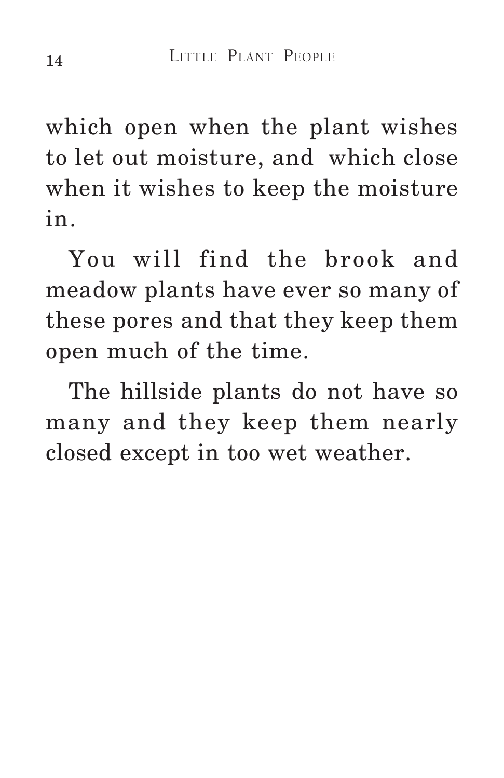which open when the plant wishes to let out moisture, and which close when it wishes to keep the moisture in.

You will find the brook and meadow plants have ever so many of these pores and that they keep them open much of the time.

The hillside plants do not have so many and they keep them nearly closed except in too wet weather.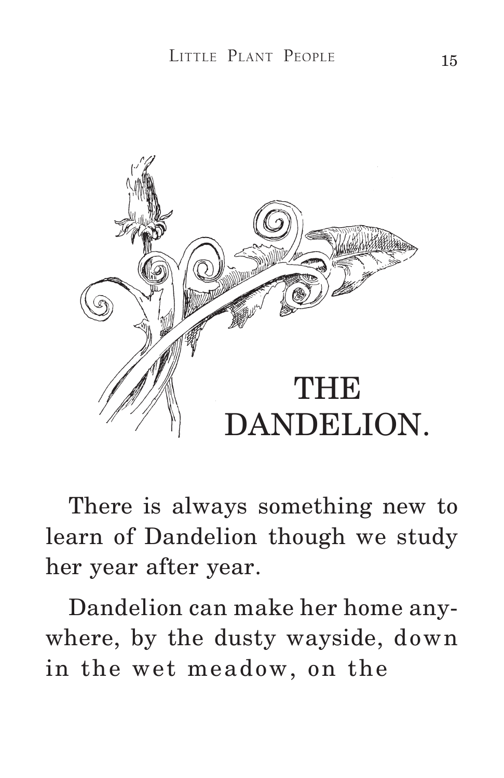

There is always something new to learn of Dandelion though we study her year after year.

Dandelion can make her home anywhere, by the dusty wayside, down in the wet meadow, on the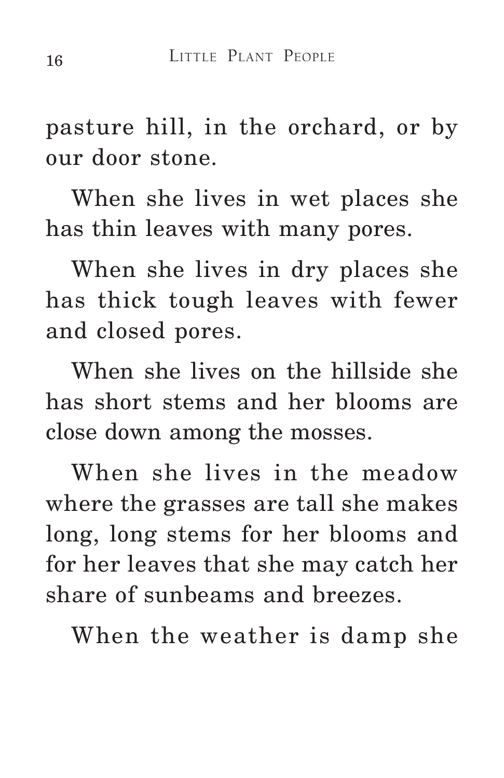pasture hill, in the orchard, or by our door stone.

When she lives in wet places she has thin leaves with many pores.

When she lives in dry places she has thick tough leaves with fewer and closed pores.

When she lives on the hillside she has short stems and her blooms are close down among the mosses.

When she lives in the meadow where the grasses are tall she makes long, long stems for her blooms and for her leaves that she may catch her share of sunbeams and breezes.

When the weather is damp she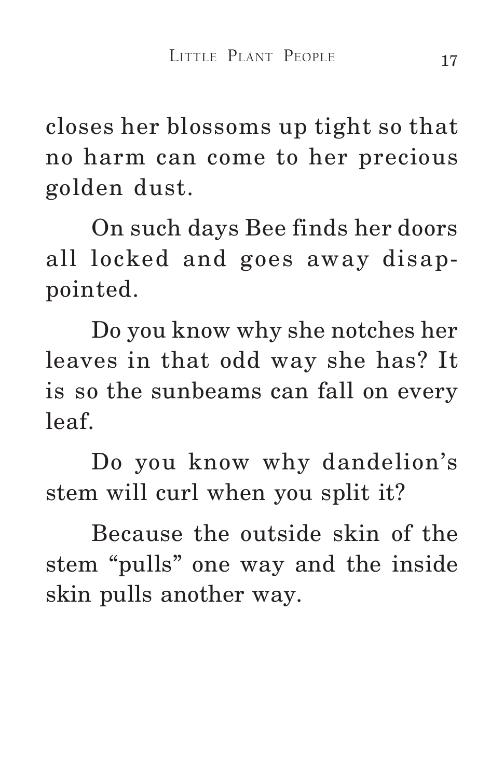closes her blossoms up tight so that no harm can come to her precious golden dust.

On such days Bee finds her doors all locked and goes away disappointed.

Do you know why she notches her leaves in that odd way she has? It is so the sunbeams can fall on every leaf.

Do you know why dandelion's stem will curl when you split it?

Because the outside skin of the stem "pulls" one way and the inside skin pulls another way.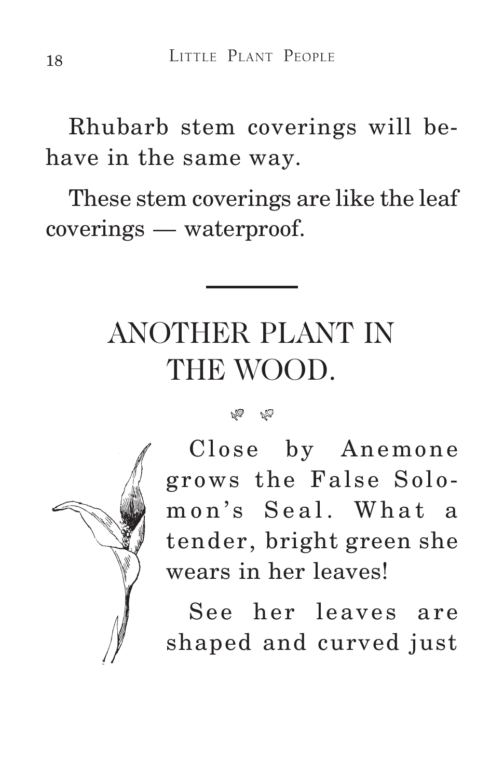Rhubarb stem coverings will behave in the same way.

These stem coverings are like the leaf coverings — waterproof.

## ANOTHER PLANT IN THE WOOD.





Close by Anemone grows the False Solomon's Seal. What a tender, bright green she wears in her leaves!

See her leaves are shaped and curved just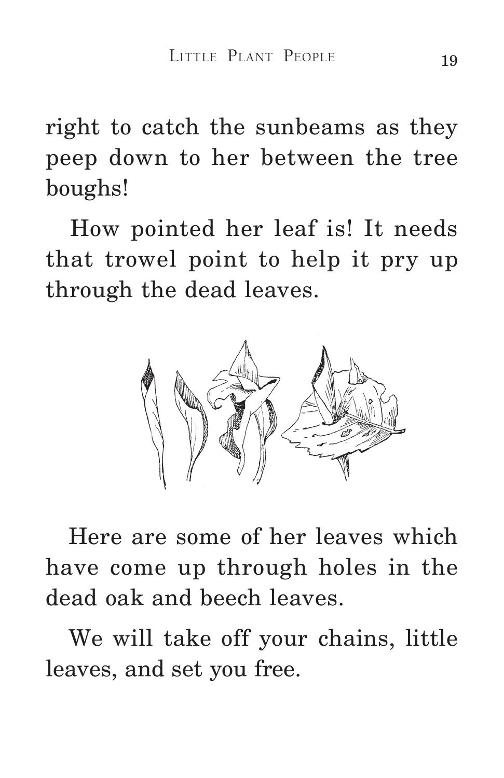right to catch the sunbeams as they peep down to her between the tree boughs!

How pointed her leaf is! It needs that trowel point to help it pry up through the dead leaves.



Here are some of her leaves which have come up through holes in the dead oak and beech leaves.

We will take off your chains, little leaves, and set you free.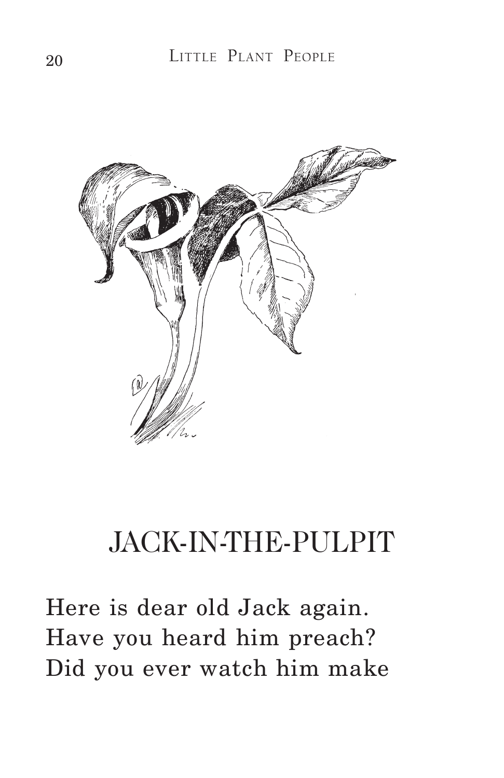

### JACK-IN-THE-PULPIT

Here is dear old Jack again. Have you heard him preach? Did you ever watch him make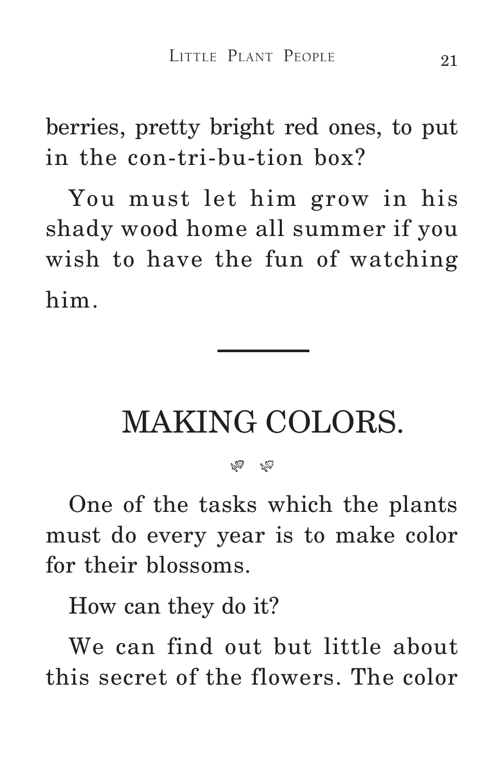berries, pretty bright red ones, to put in the con-tri-bu-tion box?

You must let him grow in his shady wood home all summer if you wish to have the fun of watching him.

### MAKING COLORS.

#### W W

One of the tasks which the plants must do every year is to make color for their blossoms.

How can they do it?

We can find out but little about this secret of the flowers. The color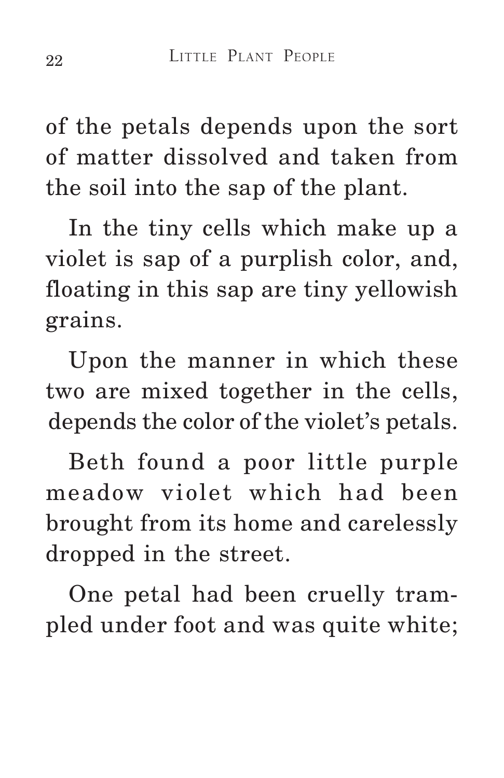of the petals depends upon the sort of matter dissolved and taken from the soil into the sap of the plant.

In the tiny cells which make up a violet is sap of a purplish color, and, floating in this sap are tiny yellowish grains.

Upon the manner in which these two are mixed together in the cells, depends the color of the violet's petals.

Beth found a poor little purple meadow violet which had been brought from its home and carelessly dropped in the street.

One petal had been cruelly trampled under foot and was quite white;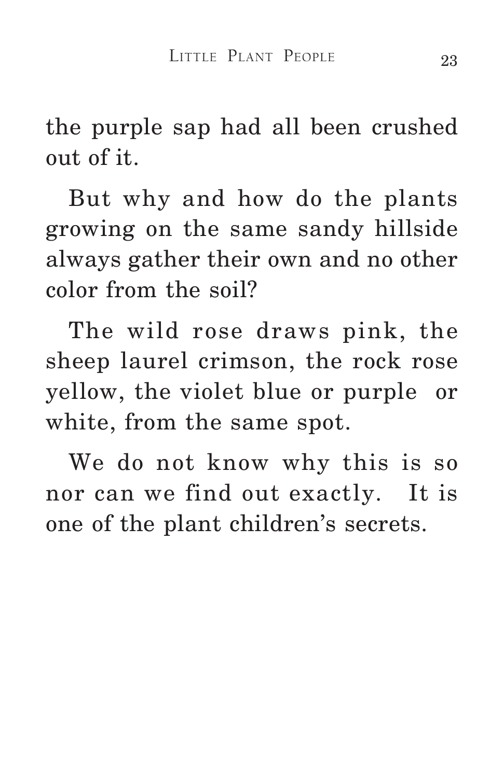the purple sap had all been crushed out of it.

But why and how do the plants growing on the same sandy hillside always gather their own and no other color from the soil?

The wild rose draws pink, the sheep laurel crimson, the rock rose yellow, the violet blue or purple or white, from the same spot.

We do not know why this is so nor can we find out exactly. It is one of the plant children's secrets.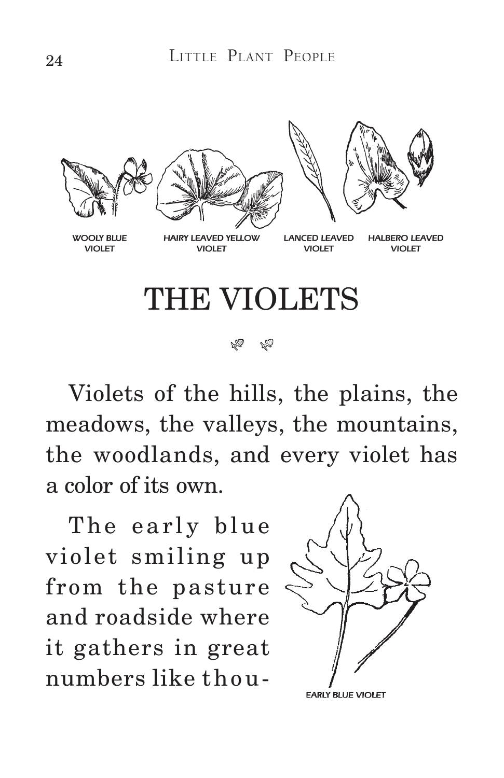

#### THE VIOLETS

Violets of the hills, the plains, the meadows, the valleys, the mountains, the woodlands, and every violet has a color of its own.

The early blue violet smiling up from the pasture and roadside where it gathers in great numbers like thou-

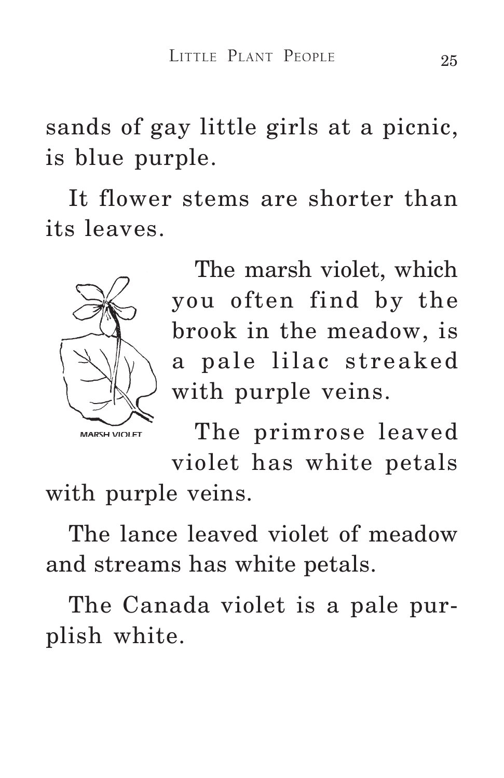sands of gay little girls at a picnic, is blue purple.

It flower stems are shorter than its leaves.



The marsh violet, which you often find by the brook in the meadow, is a pale lilac streaked with purple veins.

The primrose leaved violet has white petals

with purple veins.

The lance leaved violet of meadow and streams has white petals.

The Canada violet is a pale purplish white.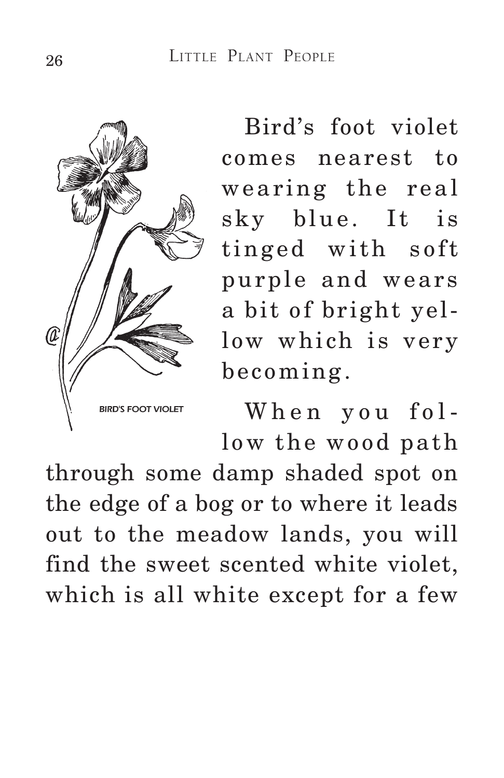

Bird's foot violet comes nearest to wearing the real sky blue. It is tinged with soft purple and wears a bit of bright yellow which is very becoming.

When you follow the wood path

through some damp shaded spot on the edge of a bog or to where it leads out to the meadow lands, you will find the sweet scented white violet, which is all white except for a few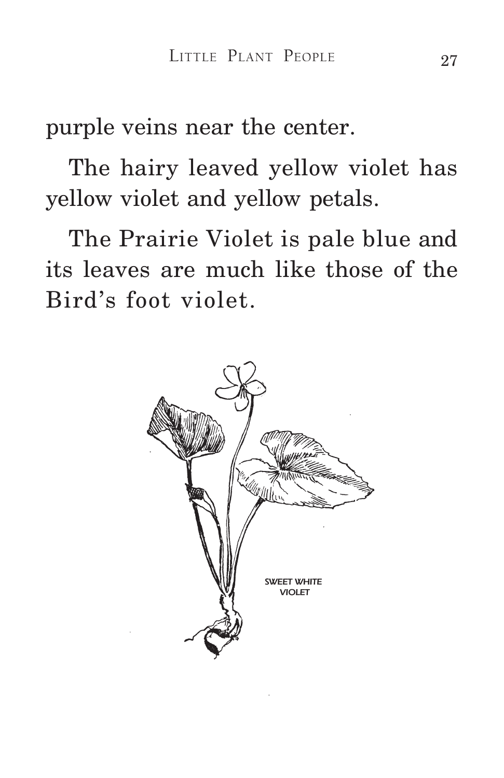purple veins near the center.

The hairy leaved yellow violet has yellow violet and yellow petals.

The Prairie Violet is pale blue and its leaves are much like those of the Bird's foot violet.

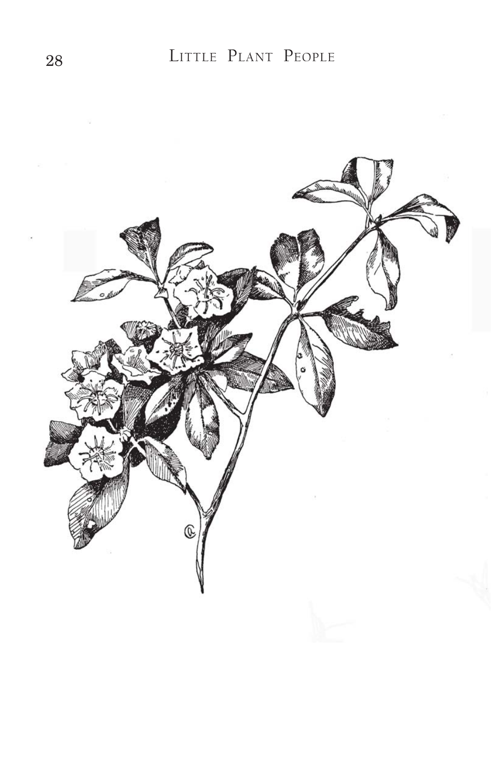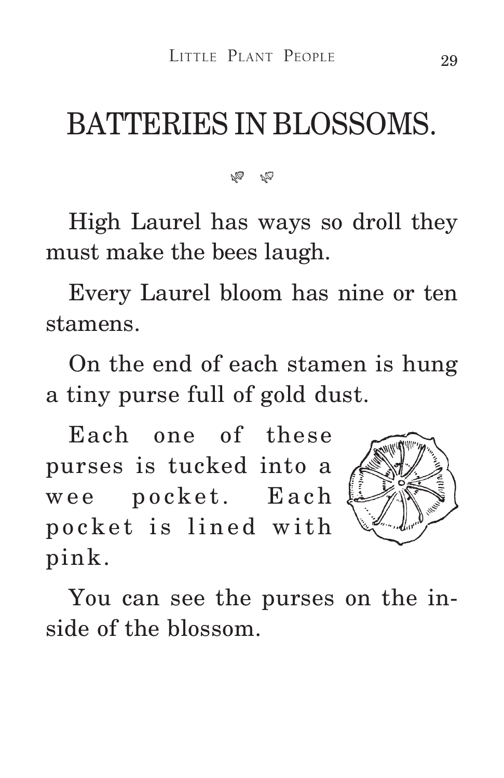### BATTERIES IN BLOSSOMS.

VI VI

High Laurel has ways so droll they must make the bees laugh.

Every Laurel bloom has nine or ten stamens.

On the end of each stamen is hung a tiny purse full of gold dust.

Each one of these purses is tucked into a wee pocket. Each pocket is lined with pink.



You can see the purses on the inside of the blossom.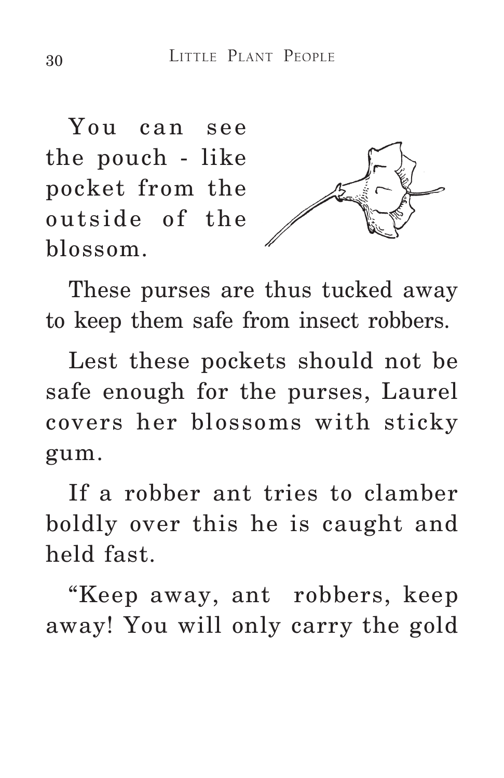You can see the pouch - like pocket from the outside of the blossom.



These purses are thus tucked away to keep them safe from insect robbers.

Lest these pockets should not be safe enough for the purses, Laurel covers her blossoms with sticky gum.

If a robber ant tries to clamber boldly over this he is caught and held fast.

"Keep away, ant robbers, keep away! You will only carry the gold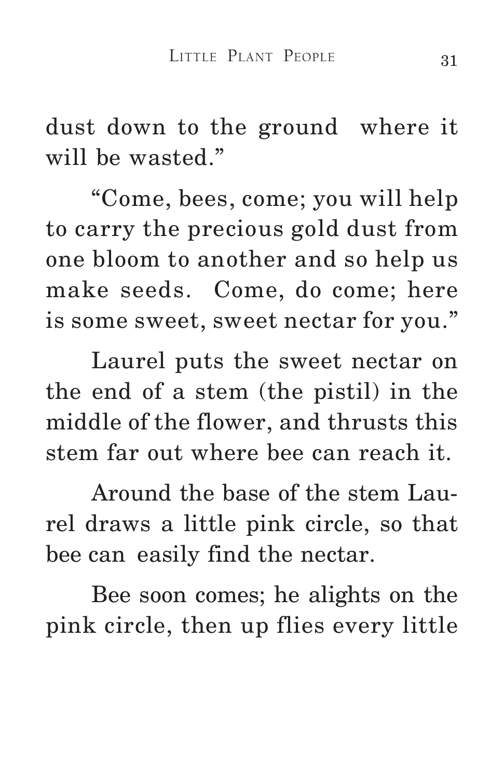dust down to the ground where it will be wasted."

"Come, bees, come; you will help to carry the precious gold dust from one bloom to another and so help us make seeds. Come, do come; here is some sweet, sweet nectar for you."

Laurel puts the sweet nectar on the end of a stem (the pistil) in the middle of the flower, and thrusts this stem far out where bee can reach it.

Around the base of the stem Laurel draws a little pink circle, so that bee can easily find the nectar.

Bee soon comes; he alights on the pink circle, then up flies every little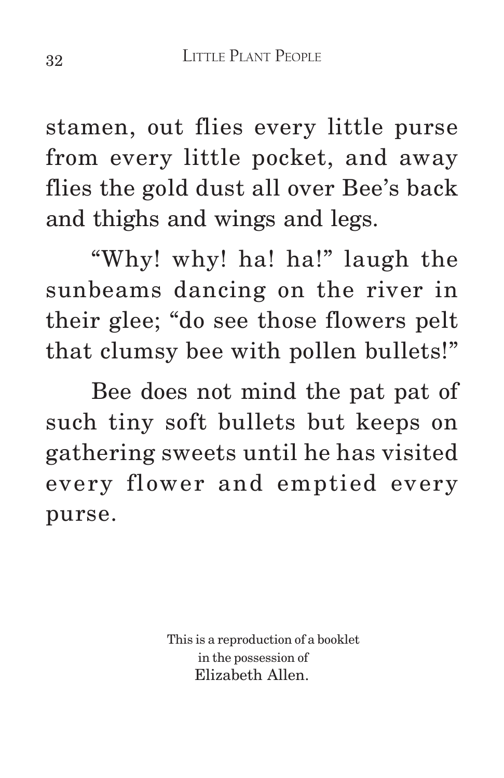stamen, out flies every little purse from every little pocket, and away flies the gold dust all over Bee's back and thighs and wings and legs.

"Why! why! ha! ha!" laugh the sunbeams dancing on the river in their glee; "do see those flowers pelt that clumsy bee with pollen bullets!"

Bee does not mind the pat pat of such tiny soft bullets but keeps on gathering sweets until he has visited every flower and emptied every purse.

> This is a reproduction of a booklet in the possession of Elizabeth Allen.